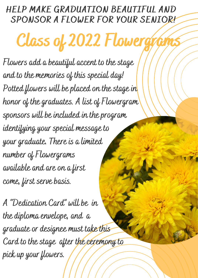## HELP MAKE GRADUATION BEAUTIFUL AND SPONSOR A FLOWER FOR YOUR SENIOR!

Class of 2022 Flowergy

**Flowers add a beautiful accent to the stage and to the memories of this special day! Potted flowers will be placed on the stage in honor of the graduates. A list of Flowergram sponsors will be included in the program identifying your special message to your graduate. There is a limited number of Flowergrams available and are on a first come, first serve basis.**

**A "Dedication Card" will be in the diploma envelope, and a graduate or designee must take this Card to the stage after the ceremony to pick up your flowers.**